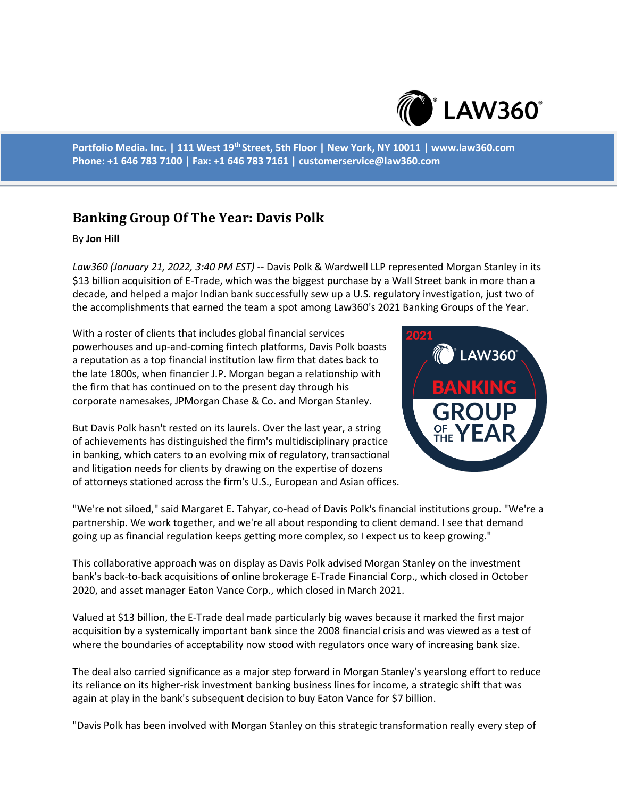

**Portfolio Media. Inc. | 111 West 19th Street, 5th Floor | New York, NY 10011 | www.law360.com Phone: +1 646 783 7100 | Fax: +1 646 783 7161 | customerservice@law360.com**

## **Banking Group Of The Year: Davis Polk**

## By **Jon Hill**

*Law360 (January 21, 2022, 3:40 PM EST)* -- Davis Polk & Wardwell LLP represented Morgan Stanley in its \$13 billion acquisition of E-Trade, which was the biggest purchase by a Wall Street bank in more than a decade, and helped a major Indian bank successfully sew up a U.S. regulatory investigation, just two of the accomplishments that earned the team a spot among Law360's 2021 Banking Groups of the Year.

With a roster of clients that includes global financial services powerhouses and up-and-coming fintech platforms, Davis Polk boasts a reputation as a top financial institution law firm that dates back to the late 1800s, when financier J.P. Morgan began a relationship with the firm that has continued on to the present day through his corporate namesakes, JPMorgan Chase & Co. and Morgan Stanley.

But Davis Polk hasn't rested on its laurels. Over the last year, a string of achievements has distinguished the firm's multidisciplinary practice in banking, which caters to an evolving mix of regulatory, transactional and litigation needs for clients by drawing on the expertise of dozens of attorneys stationed across the firm's U.S., European and Asian offices.



"We're not siloed," said Margaret E. Tahyar, co-head of Davis Polk's financial institutions group. "We're a partnership. We work together, and we're all about responding to client demand. I see that demand going up as financial regulation keeps getting more complex, so I expect us to keep growing."

This collaborative approach was on display as Davis Polk advised Morgan Stanley on the investment bank's back-to-back acquisitions of online brokerage E-Trade Financial Corp., which closed in October 2020, and asset manager Eaton Vance Corp., which closed in March 2021.

Valued at \$13 billion, the E-Trade deal made particularly big waves because it marked the first major acquisition by a systemically important bank since the 2008 financial crisis and was viewed as a test of where the boundaries of acceptability now stood with regulators once wary of increasing bank size.

The deal also carried significance as a major step forward in Morgan Stanley's yearslong effort to reduce its reliance on its higher-risk investment banking business lines for income, a strategic shift that was again at play in the bank's subsequent decision to buy Eaton Vance for \$7 billion.

"Davis Polk has been involved with Morgan Stanley on this strategic transformation really every step of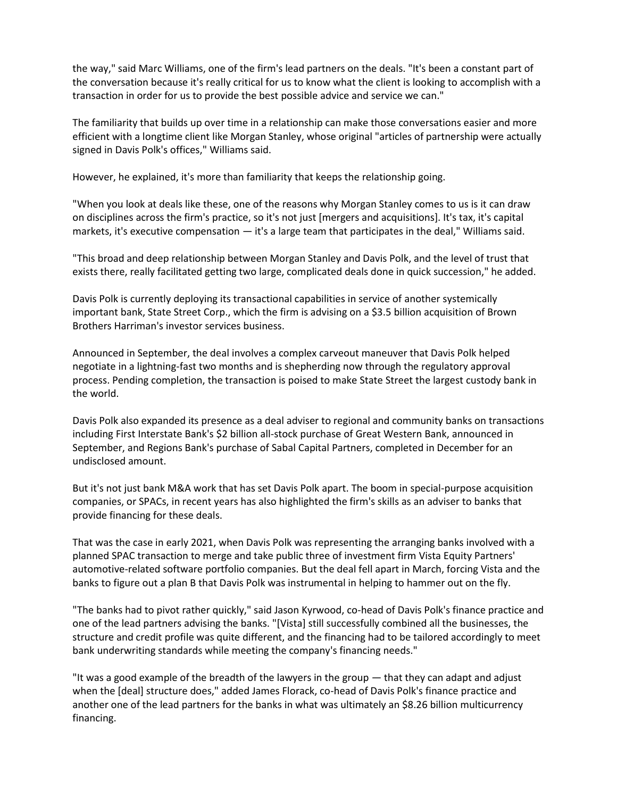the way," said Marc Williams, one of the firm's lead partners on the deals. "It's been a constant part of the conversation because it's really critical for us to know what the client is looking to accomplish with a transaction in order for us to provide the best possible advice and service we can."

The familiarity that builds up over time in a relationship can make those conversations easier and more efficient with a longtime client like Morgan Stanley, whose original "articles of partnership were actually signed in Davis Polk's offices," Williams said.

However, he explained, it's more than familiarity that keeps the relationship going.

"When you look at deals like these, one of the reasons why Morgan Stanley comes to us is it can draw on disciplines across the firm's practice, so it's not just [mergers and acquisitions]. It's tax, it's capital markets, it's executive compensation — it's a large team that participates in the deal," Williams said.

"This broad and deep relationship between Morgan Stanley and Davis Polk, and the level of trust that exists there, really facilitated getting two large, complicated deals done in quick succession," he added.

Davis Polk is currently deploying its transactional capabilities in service of another systemically important bank, State Street Corp., which the firm is advising on a \$3.5 billion acquisition of Brown Brothers Harriman's investor services business.

Announced in September, the deal involves a complex carveout maneuver that Davis Polk helped negotiate in a lightning-fast two months and is shepherding now through the regulatory approval process. Pending completion, the transaction is poised to make State Street the largest custody bank in the world.

Davis Polk also expanded its presence as a deal adviser to regional and community banks on transactions including First Interstate Bank's \$2 billion all-stock purchase of Great Western Bank, announced in September, and Regions Bank's purchase of Sabal Capital Partners, completed in December for an undisclosed amount.

But it's not just bank M&A work that has set Davis Polk apart. The boom in special-purpose acquisition companies, or SPACs, in recent years has also highlighted the firm's skills as an adviser to banks that provide financing for these deals.

That was the case in early 2021, when Davis Polk was representing the arranging banks involved with a planned SPAC transaction to merge and take public three of investment firm Vista Equity Partners' automotive-related software portfolio companies. But the deal fell apart in March, forcing Vista and the banks to figure out a plan B that Davis Polk was instrumental in helping to hammer out on the fly.

"The banks had to pivot rather quickly," said Jason Kyrwood, co-head of Davis Polk's finance practice and one of the lead partners advising the banks. "[Vista] still successfully combined all the businesses, the structure and credit profile was quite different, and the financing had to be tailored accordingly to meet bank underwriting standards while meeting the company's financing needs."

"It was a good example of the breadth of the lawyers in the group — that they can adapt and adjust when the [deal] structure does," added James Florack, co-head of Davis Polk's finance practice and another one of the lead partners for the banks in what was ultimately an \$8.26 billion multicurrency financing.